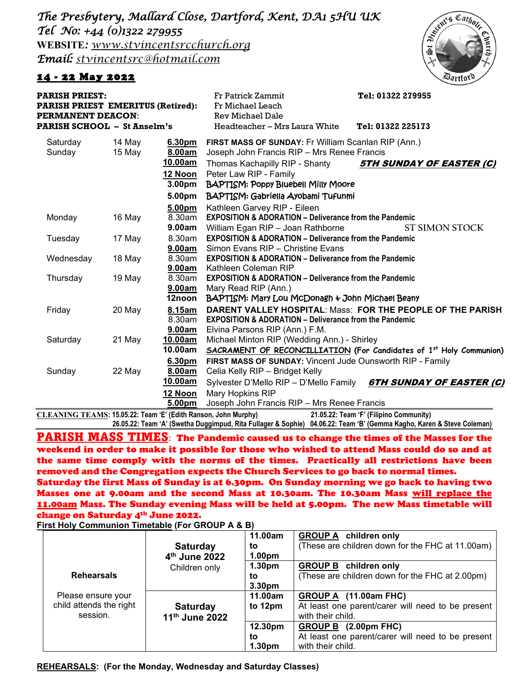*The Presbytery, Mallard Close, Dartford, Kent, DA1 5HU UK Tel No: +44 (0)1322 279955*  **WEBSITE***: www.stvincentsrcchurch.org Email: [stvincentsrc@hotmail.com](mailto:stvincentsrc@hotmail.com)*

## 14 - 22 May 2022



| <b>PARISH PRIEST EMERITUS (Retired):</b><br><b>PERMANENT DEACON:</b><br>PARISH SCHOOL – St Anselm's |                  |                                                              | Fr Michael Leach<br>Rev Michael Dale<br>Headteacher - Mrs Laura White                                                                                                                                                                                  | Tel: 01322 225173                                                               |  |
|-----------------------------------------------------------------------------------------------------|------------------|--------------------------------------------------------------|--------------------------------------------------------------------------------------------------------------------------------------------------------------------------------------------------------------------------------------------------------|---------------------------------------------------------------------------------|--|
| Saturday<br>Sunday                                                                                  | 14 May<br>15 May | 6.30pm<br>8.00am<br>10.00am<br>12 Noon<br>3.00 <sub>pm</sub> | <b>FIRST MASS OF SUNDAY: Fr William Scanlan RIP (Ann.)</b><br>Joseph John Francis RIP - Mrs Renee Francis<br><b>5TH SUNDAY OF EASTER (C)</b><br>Thomas Kachapilly RIP - Shanty<br>Peter Law RIP - Family<br><b>BAPTISM: Poppy Bluebell Milly Moore</b> |                                                                                 |  |
| Monday                                                                                              | 16 May           | 5.00pm<br>5.00pm<br>8.30am<br>9.00am                         | BAPTISM: Gabriella Ayobami Tufunmi<br>Kathleen Garvey RIP - Eileen<br><b>EXPOSITION &amp; ADORATION - Deliverance from the Pandemic</b><br>William Egan RIP - Joan Rathborne                                                                           | <b>ST SIMON STOCK</b>                                                           |  |
| Tuesday                                                                                             | 17 May           | 8.30am<br>9.00am                                             | <b>EXPOSITION &amp; ADORATION - Deliverance from the Pandemic</b><br>Simon Evans RIP - Christine Evans                                                                                                                                                 |                                                                                 |  |
| Wednesday                                                                                           | 18 May           | 8.30am<br>9.00am                                             | <b>EXPOSITION &amp; ADORATION – Deliverance from the Pandemic</b><br>Kathleen Coleman RIP                                                                                                                                                              |                                                                                 |  |
| Thursday                                                                                            | 19 May           | 8.30am<br>9.00am<br>12noon                                   | <b>EXPOSITION &amp; ADORATION - Deliverance from the Pandemic</b><br>Mary Read RIP (Ann.)<br>BAPTISM: Mary Lou McDonagh & John Michael Beany                                                                                                           |                                                                                 |  |
| Friday                                                                                              | 20 May           | 8.15am<br>8.30am<br>9.00am                                   | <b>DARENT VALLEY HOSPITAL: Mass: FOR THE PEOPLE OF THE PARISH</b><br><b>EXPOSITION &amp; ADORATION – Deliverance from the Pandemic</b><br>Elvina Parsons RIP (Ann.) F.M.                                                                               |                                                                                 |  |
| Saturday                                                                                            | 21 May           | 10.00am<br>10.00am                                           | Michael Minton RIP (Wedding Ann.) - Shirley                                                                                                                                                                                                            | SACRAMENT OF RECONCILLIATION (For Candidates of 1 <sup>st</sup> Holy Communion) |  |
| Sunday                                                                                              | 22 May           | 6.30pm<br>8.00am<br>10.00am                                  | FIRST MASS OF SUNDAY: Vincent Jude Ounsworth RIP - Family<br>Celia Kelly RIP - Bridget Kelly                                                                                                                                                           | Sylvester D'Mello RIP - D'Mello Family 6TH SUNDAY OF EASTER (C)                 |  |
|                                                                                                     |                  | 12 Noon<br>5.00pm                                            | Mary Hopkins RIP<br>Joseph John Francis RIP - Mrs Renee Francis                                                                                                                                                                                        |                                                                                 |  |

**CLEANING TEAMS: 15.05.22: Team 'E' (Edith Ranson, John Murphy) 21.05.22: Team 'F' (Filipino Community) 26.05.22: Team 'A' (Swetha Duggimpud, Rita Fullager & Sophie) 04.06.22: Team 'B' (Gemma Kagho, Karen & Steve Coleman)**

PARISH MASS TIMES**:** The Pandemic caused us to change the times of the Masses for the weekend in order to make it possible for those who wished to attend Mass could do so and at the same time comply with the norms of the times. Practically all restrictions have been removed and the Congregation expects the Church Services to go back to normal times. Saturday the first Mass of Sunday is at 6.30pm. On Sunday morning we go back to having two Masses one at 9.00am and the second Mass at 10.30am. The 10.30am Mass will replace the 11.00am Mass. The Sunday evening Mass will be held at 5.00pm. The new Mass timetable will change on Saturday 4<sup>th</sup> June 2022.

**First Holy Communion Timetable (For GROUP A & B)**

|                         |                           | 11.00am            | <b>GROUP A</b> children only                      |
|-------------------------|---------------------------|--------------------|---------------------------------------------------|
|                         | <b>Saturday</b>           | to                 | (These are children down for the FHC at 11.00am)  |
|                         | 4 <sup>th</sup> June 2022 | 1.00 <sub>pm</sub> |                                                   |
|                         | Children only             | 1.30 <sub>pm</sub> | <b>GROUP B</b> children only                      |
| <b>Rehearsals</b>       |                           | to                 | (These are children down for the FHC at 2.00pm)   |
|                         |                           | 3.30pm             |                                                   |
| Please ensure your      |                           | 11.00am            | GROUP A (11.00am FHC)                             |
| child attends the right | <b>Saturday</b>           | to 12pm            | At least one parent/carer will need to be present |
| session.                | 11th June 2022            |                    | with their child.                                 |
|                         |                           | 12.30pm            | GROUP B (2.00pm FHC)                              |
|                         |                           | to                 | At least one parent/carer will need to be present |
|                         |                           | 1.30 <sub>pm</sub> | with their child.                                 |